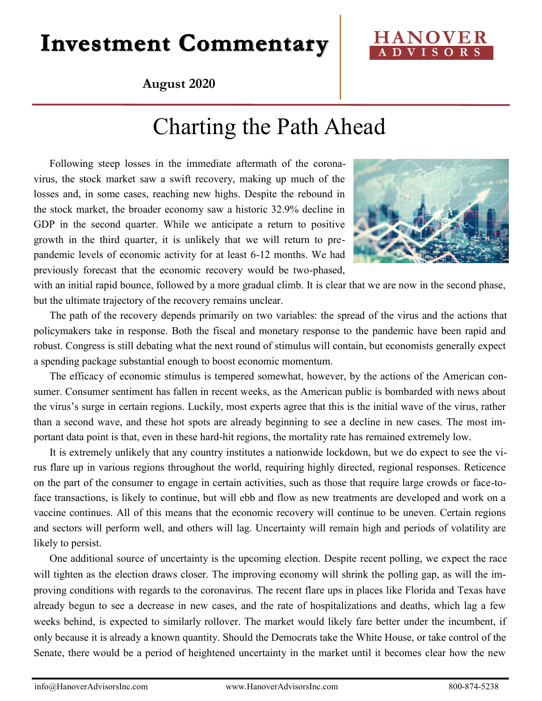# **Investment Commentary**

### **HANOVER A D V I S O R S**

### **August 2020**

## Charting the Path Ahead

Following steep losses in the immediate aftermath of the coronavirus, the stock market saw a swift recovery, making up much of the losses and, in some cases, reaching new highs. Despite the rebound in the stock market, the broader economy saw a historic 32.9% decline in GDP in the second quarter. While we anticipate a return to positive growth in the third quarter, it is unlikely that we will return to prepandemic levels of economic activity for at least 6-12 months. We had previously forecast that the economic recovery would be two-phased,



with an initial rapid bounce, followed by a more gradual climb. It is clear that we are now in the second phase, but the ultimate trajectory of the recovery remains unclear.

The path of the recovery depends primarily on two variables: the spread of the virus and the actions that policymakers take in response. Both the fiscal and monetary response to the pandemic have been rapid and robust. Congress is still debating what the next round of stimulus will contain, but economists generally expect a spending package substantial enough to boost economic momentum.

The efficacy of economic stimulus is tempered somewhat, however, by the actions of the American consumer. Consumer sentiment has fallen in recent weeks, as the American public is bombarded with news about the virus's surge in certain regions. Luckily, most experts agree that this is the initial wave of the virus, rather than a second wave, and these hot spots are already beginning to see a decline in new cases. The most important data point is that, even in these hard-hit regions, the mortality rate has remained extremely low.

It is extremely unlikely that any country institutes a nationwide lockdown, but we do expect to see the virus flare up in various regions throughout the world, requiring highly directed, regional responses. Reticence on the part of the consumer to engage in certain activities, such as those that require large crowds or face-toface transactions, is likely to continue, but will ebb and flow as new treatments are developed and work on a vaccine continues. All of this means that the economic recovery will continue to be uneven. Certain regions and sectors will perform well, and others will lag. Uncertainty will remain high and periods of volatility are likely to persist.

One additional source of uncertainty is the upcoming election. Despite recent polling, we expect the race will tighten as the election draws closer. The improving economy will shrink the polling gap, as will the improving conditions with regards to the coronavirus. The recent flare ups in places like Florida and Texas have already begun to see a decrease in new cases, and the rate of hospitalizations and deaths, which lag a few weeks behind, is expected to similarly rollover. The market would likely fare better under the incumbent, if only because it is already a known quantity. Should the Democrats take the White House, or take control of the Senate, there would be a period of heightened uncertainty in the market until it becomes clear how the new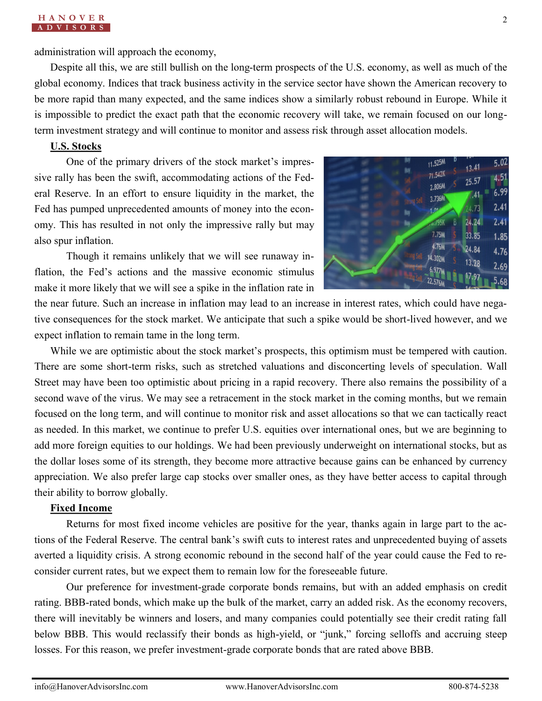administration will approach the economy,

Despite all this, we are still bullish on the long-term prospects of the U.S. economy, as well as much of the global economy. Indices that track business activity in the service sector have shown the American recovery to be more rapid than many expected, and the same indices show a similarly robust rebound in Europe. While it is impossible to predict the exact path that the economic recovery will take, we remain focused on our longterm investment strategy and will continue to monitor and assess risk through asset allocation models.

#### **U.S. Stocks**

One of the primary drivers of the stock market's impressive rally has been the swift, accommodating actions of the Federal Reserve. In an effort to ensure liquidity in the market, the Fed has pumped unprecedented amounts of money into the economy. This has resulted in not only the impressive rally but may also spur inflation.



Though it remains unlikely that we will see runaway inflation, the Fed's actions and the massive economic stimulus make it more likely that we will see a spike in the inflation rate in

the near future. Such an increase in inflation may lead to an increase in interest rates, which could have negative consequences for the stock market. We anticipate that such a spike would be short-lived however, and we expect inflation to remain tame in the long term.

While we are optimistic about the stock market's prospects, this optimism must be tempered with caution. There are some short-term risks, such as stretched valuations and disconcerting levels of speculation. Wall Street may have been too optimistic about pricing in a rapid recovery. There also remains the possibility of a second wave of the virus. We may see a retracement in the stock market in the coming months, but we remain focused on the long term, and will continue to monitor risk and asset allocations so that we can tactically react as needed. In this market, we continue to prefer U.S. equities over international ones, but we are beginning to add more foreign equities to our holdings. We had been previously underweight on international stocks, but as the dollar loses some of its strength, they become more attractive because gains can be enhanced by currency appreciation. We also prefer large cap stocks over smaller ones, as they have better access to capital through their ability to borrow globally.

#### **Fixed Income**

Returns for most fixed income vehicles are positive for the year, thanks again in large part to the actions of the Federal Reserve. The central bank's swift cuts to interest rates and unprecedented buying of assets averted a liquidity crisis. A strong economic rebound in the second half of the year could cause the Fed to reconsider current rates, but we expect them to remain low for the foreseeable future.

Our preference for investment-grade corporate bonds remains, but with an added emphasis on credit rating. BBB-rated bonds, which make up the bulk of the market, carry an added risk. As the economy recovers, there will inevitably be winners and losers, and many companies could potentially see their credit rating fall below BBB. This would reclassify their bonds as high-yield, or "junk," forcing selloffs and accruing steep losses. For this reason, we prefer investment-grade corporate bonds that are rated above BBB.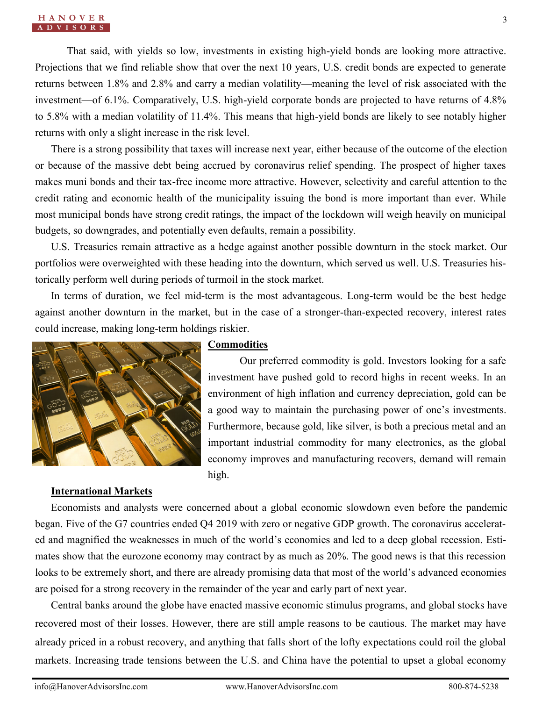That said, with yields so low, investments in existing high-yield bonds are looking more attractive. Projections that we find reliable show that over the next 10 years, U.S. credit bonds are expected to generate returns between 1.8% and 2.8% and carry a median volatility—meaning the level of risk associated with the investment—of 6.1%. Comparatively, U.S. high-yield corporate bonds are projected to have returns of 4.8% to 5.8% with a median volatility of 11.4%. This means that high-yield bonds are likely to see notably higher returns with only a slight increase in the risk level.

There is a strong possibility that taxes will increase next year, either because of the outcome of the election or because of the massive debt being accrued by coronavirus relief spending. The prospect of higher taxes makes muni bonds and their tax-free income more attractive. However, selectivity and careful attention to the credit rating and economic health of the municipality issuing the bond is more important than ever. While most municipal bonds have strong credit ratings, the impact of the lockdown will weigh heavily on municipal budgets, so downgrades, and potentially even defaults, remain a possibility.

U.S. Treasuries remain attractive as a hedge against another possible downturn in the stock market. Our portfolios were overweighted with these heading into the downturn, which served us well. U.S. Treasuries historically perform well during periods of turmoil in the stock market.

In terms of duration, we feel mid-term is the most advantageous. Long-term would be the best hedge against another downturn in the market, but in the case of a stronger-than-expected recovery, interest rates could increase, making long-term holdings riskier.



#### **Commodities**

Our preferred commodity is gold. Investors looking for a safe investment have pushed gold to record highs in recent weeks. In an environment of high inflation and currency depreciation, gold can be a good way to maintain the purchasing power of one's investments. Furthermore, because gold, like silver, is both a precious metal and an important industrial commodity for many electronics, as the global economy improves and manufacturing recovers, demand will remain high.

#### **International Markets**

Economists and analysts were concerned about a global economic slowdown even before the pandemic began. Five of the G7 countries ended Q4 2019 with zero or negative GDP growth. The coronavirus accelerated and magnified the weaknesses in much of the world's economies and led to a deep global recession. Estimates show that the eurozone economy may contract by as much as 20%. The good news is that this recession looks to be extremely short, and there are already promising data that most of the world's advanced economies are poised for a strong recovery in the remainder of the year and early part of next year.

Central banks around the globe have enacted massive economic stimulus programs, and global stocks have recovered most of their losses. However, there are still ample reasons to be cautious. The market may have already priced in a robust recovery, and anything that falls short of the lofty expectations could roil the global markets. Increasing trade tensions between the U.S. and China have the potential to upset a global economy